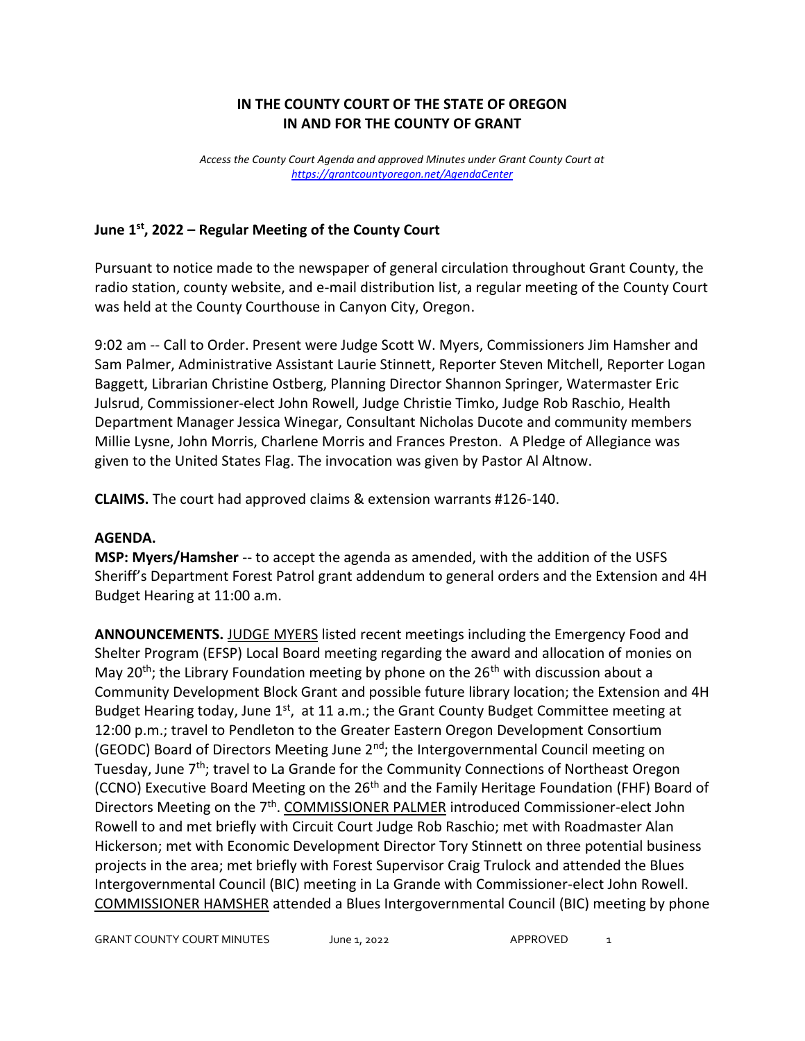# **IN THE COUNTY COURT OF THE STATE OF OREGON IN AND FOR THE COUNTY OF GRANT**

*Access the County Court Agenda and approved Minutes under Grant County Court at <https://grantcountyoregon.net/AgendaCenter>*

### **June 1st, 2022 – Regular Meeting of the County Court**

Pursuant to notice made to the newspaper of general circulation throughout Grant County, the radio station, county website, and e-mail distribution list, a regular meeting of the County Court was held at the County Courthouse in Canyon City, Oregon.

9:02 am -- Call to Order. Present were Judge Scott W. Myers, Commissioners Jim Hamsher and Sam Palmer, Administrative Assistant Laurie Stinnett, Reporter Steven Mitchell, Reporter Logan Baggett, Librarian Christine Ostberg, Planning Director Shannon Springer, Watermaster Eric Julsrud, Commissioner-elect John Rowell, Judge Christie Timko, Judge Rob Raschio, Health Department Manager Jessica Winegar, Consultant Nicholas Ducote and community members Millie Lysne, John Morris, Charlene Morris and Frances Preston. A Pledge of Allegiance was given to the United States Flag. The invocation was given by Pastor Al Altnow.

**CLAIMS.** The court had approved claims & extension warrants #126-140.

#### **AGENDA.**

**MSP: Myers/Hamsher** -- to accept the agenda as amended, with the addition of the USFS Sheriff's Department Forest Patrol grant addendum to general orders and the Extension and 4H Budget Hearing at 11:00 a.m.

**ANNOUNCEMENTS.** JUDGE MYERS listed recent meetings including the Emergency Food and Shelter Program (EFSP) Local Board meeting regarding the award and allocation of monies on May 20<sup>th</sup>; the Library Foundation meeting by phone on the 26<sup>th</sup> with discussion about a Community Development Block Grant and possible future library location; the Extension and 4H Budget Hearing today, June 1<sup>st</sup>, at 11 a.m.; the Grant County Budget Committee meeting at 12:00 p.m.; travel to Pendleton to the Greater Eastern Oregon Development Consortium (GEODC) Board of Directors Meeting June 2<sup>nd</sup>; the Intergovernmental Council meeting on Tuesday, June 7<sup>th</sup>; travel to La Grande for the Community Connections of Northeast Oregon (CCNO) Executive Board Meeting on the 26<sup>th</sup> and the Family Heritage Foundation (FHF) Board of Directors Meeting on the 7<sup>th</sup>. COMMISSIONER PALMER introduced Commissioner-elect John Rowell to and met briefly with Circuit Court Judge Rob Raschio; met with Roadmaster Alan Hickerson; met with Economic Development Director Tory Stinnett on three potential business projects in the area; met briefly with Forest Supervisor Craig Trulock and attended the Blues Intergovernmental Council (BIC) meeting in La Grande with Commissioner-elect John Rowell. COMMISSIONER HAMSHER attended a Blues Intergovernmental Council (BIC) meeting by phone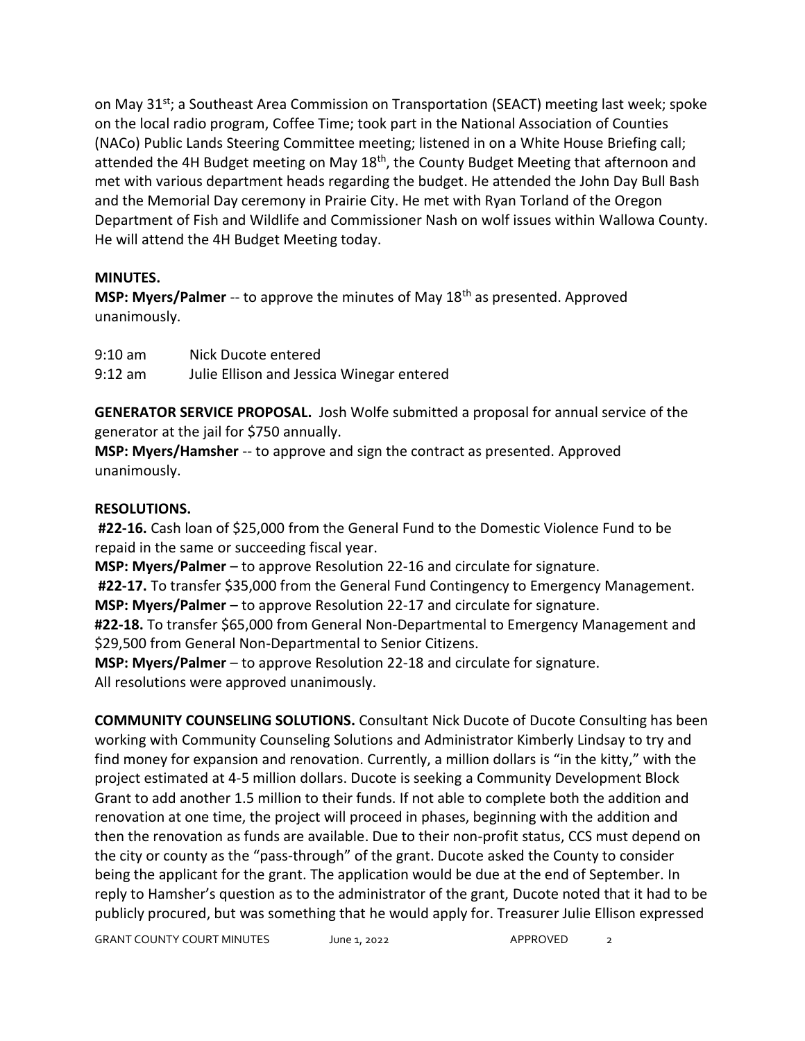on May 31<sup>st</sup>; a Southeast Area Commission on Transportation (SEACT) meeting last week; spoke on the local radio program, Coffee Time; took part in the National Association of Counties (NACo) Public Lands Steering Committee meeting; listened in on a White House Briefing call; attended the 4H Budget meeting on May 18<sup>th</sup>, the County Budget Meeting that afternoon and met with various department heads regarding the budget. He attended the John Day Bull Bash and the Memorial Day ceremony in Prairie City. He met with Ryan Torland of the Oregon Department of Fish and Wildlife and Commissioner Nash on wolf issues within Wallowa County. He will attend the 4H Budget Meeting today.

### **MINUTES.**

**MSP: Myers/Palmer** -- to approve the minutes of May 18<sup>th</sup> as presented. Approved unanimously.

| $9:10$ am     | Nick Ducote entered |  |   |  |  |  |  |
|---------------|---------------------|--|---|--|--|--|--|
| $\sim$ $\sim$ |                     |  | . |  |  |  |  |

9:12 am Julie Ellison and Jessica Winegar entered

**GENERATOR SERVICE PROPOSAL.** Josh Wolfe submitted a proposal for annual service of the generator at the jail for \$750 annually.

**MSP: Myers/Hamsher** -- to approve and sign the contract as presented. Approved unanimously.

# **RESOLUTIONS.**

**#22-16.** Cash loan of \$25,000 from the General Fund to the Domestic Violence Fund to be repaid in the same or succeeding fiscal year.

**MSP: Myers/Palmer** – to approve Resolution 22-16 and circulate for signature.

**#22-17.** To transfer \$35,000 from the General Fund Contingency to Emergency Management. **MSP: Myers/Palmer** – to approve Resolution 22-17 and circulate for signature.

**#22-18.** To transfer \$65,000 from General Non-Departmental to Emergency Management and \$29,500 from General Non-Departmental to Senior Citizens.

**MSP: Myers/Palmer** – to approve Resolution 22-18 and circulate for signature. All resolutions were approved unanimously.

**COMMUNITY COUNSELING SOLUTIONS.** Consultant Nick Ducote of Ducote Consulting has been working with Community Counseling Solutions and Administrator Kimberly Lindsay to try and find money for expansion and renovation. Currently, a million dollars is "in the kitty," with the project estimated at 4-5 million dollars. Ducote is seeking a Community Development Block Grant to add another 1.5 million to their funds. If not able to complete both the addition and renovation at one time, the project will proceed in phases, beginning with the addition and then the renovation as funds are available. Due to their non-profit status, CCS must depend on the city or county as the "pass-through" of the grant. Ducote asked the County to consider being the applicant for the grant. The application would be due at the end of September. In reply to Hamsher's question as to the administrator of the grant, Ducote noted that it had to be publicly procured, but was something that he would apply for. Treasurer Julie Ellison expressed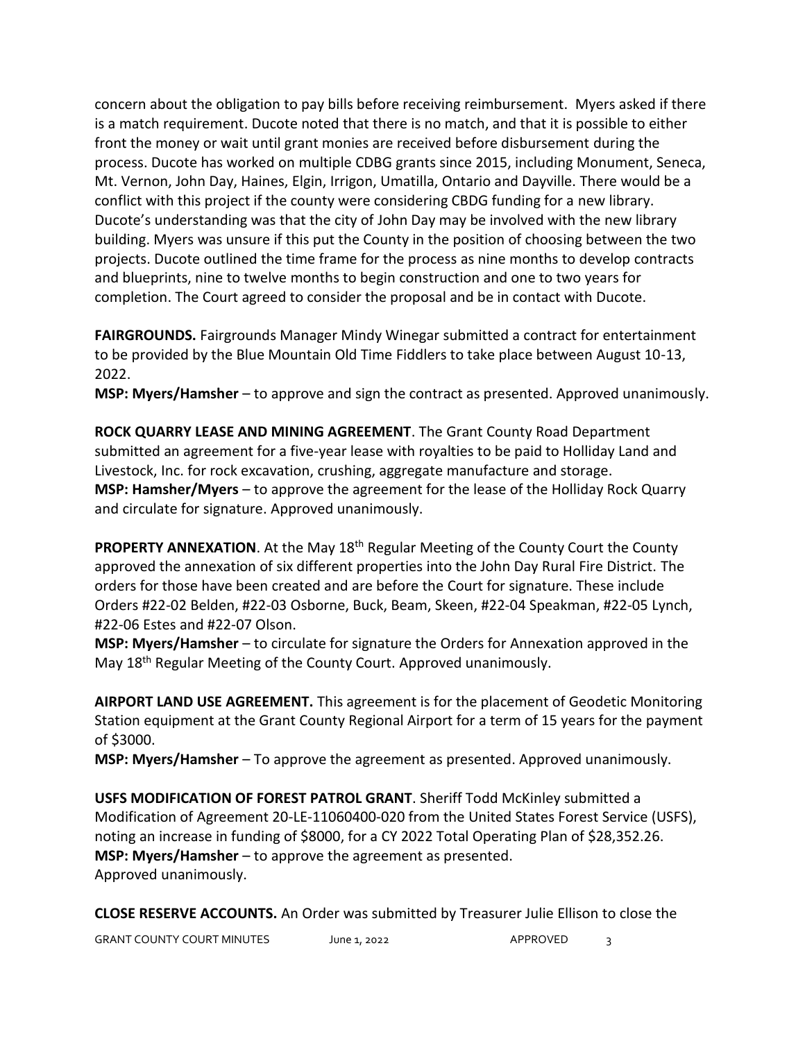concern about the obligation to pay bills before receiving reimbursement. Myers asked if there is a match requirement. Ducote noted that there is no match, and that it is possible to either front the money or wait until grant monies are received before disbursement during the process. Ducote has worked on multiple CDBG grants since 2015, including Monument, Seneca, Mt. Vernon, John Day, Haines, Elgin, Irrigon, Umatilla, Ontario and Dayville. There would be a conflict with this project if the county were considering CBDG funding for a new library. Ducote's understanding was that the city of John Day may be involved with the new library building. Myers was unsure if this put the County in the position of choosing between the two projects. Ducote outlined the time frame for the process as nine months to develop contracts and blueprints, nine to twelve months to begin construction and one to two years for completion. The Court agreed to consider the proposal and be in contact with Ducote.

**FAIRGROUNDS.** Fairgrounds Manager Mindy Winegar submitted a contract for entertainment to be provided by the Blue Mountain Old Time Fiddlers to take place between August 10-13, 2022.

**MSP: Myers/Hamsher** – to approve and sign the contract as presented. Approved unanimously.

**ROCK QUARRY LEASE AND MINING AGREEMENT**. The Grant County Road Department submitted an agreement for a five-year lease with royalties to be paid to Holliday Land and Livestock, Inc. for rock excavation, crushing, aggregate manufacture and storage. **MSP: Hamsher/Myers** – to approve the agreement for the lease of the Holliday Rock Quarry and circulate for signature. Approved unanimously.

**PROPERTY ANNEXATION**. At the May 18<sup>th</sup> Regular Meeting of the County Court the County approved the annexation of six different properties into the John Day Rural Fire District. The orders for those have been created and are before the Court for signature. These include Orders #22-02 Belden, #22-03 Osborne, Buck, Beam, Skeen, #22-04 Speakman, #22-05 Lynch, #22-06 Estes and #22-07 Olson.

**MSP: Myers/Hamsher** – to circulate for signature the Orders for Annexation approved in the May 18<sup>th</sup> Regular Meeting of the County Court. Approved unanimously.

**AIRPORT LAND USE AGREEMENT.** This agreement is for the placement of Geodetic Monitoring Station equipment at the Grant County Regional Airport for a term of 15 years for the payment of \$3000.

**MSP: Myers/Hamsher** – To approve the agreement as presented. Approved unanimously.

**USFS MODIFICATION OF FOREST PATROL GRANT**. Sheriff Todd McKinley submitted a Modification of Agreement 20-LE-11060400-020 from the United States Forest Service (USFS), noting an increase in funding of \$8000, for a CY 2022 Total Operating Plan of \$28,352.26. **MSP: Myers/Hamsher** – to approve the agreement as presented. Approved unanimously.

**CLOSE RESERVE ACCOUNTS.** An Order was submitted by Treasurer Julie Ellison to close the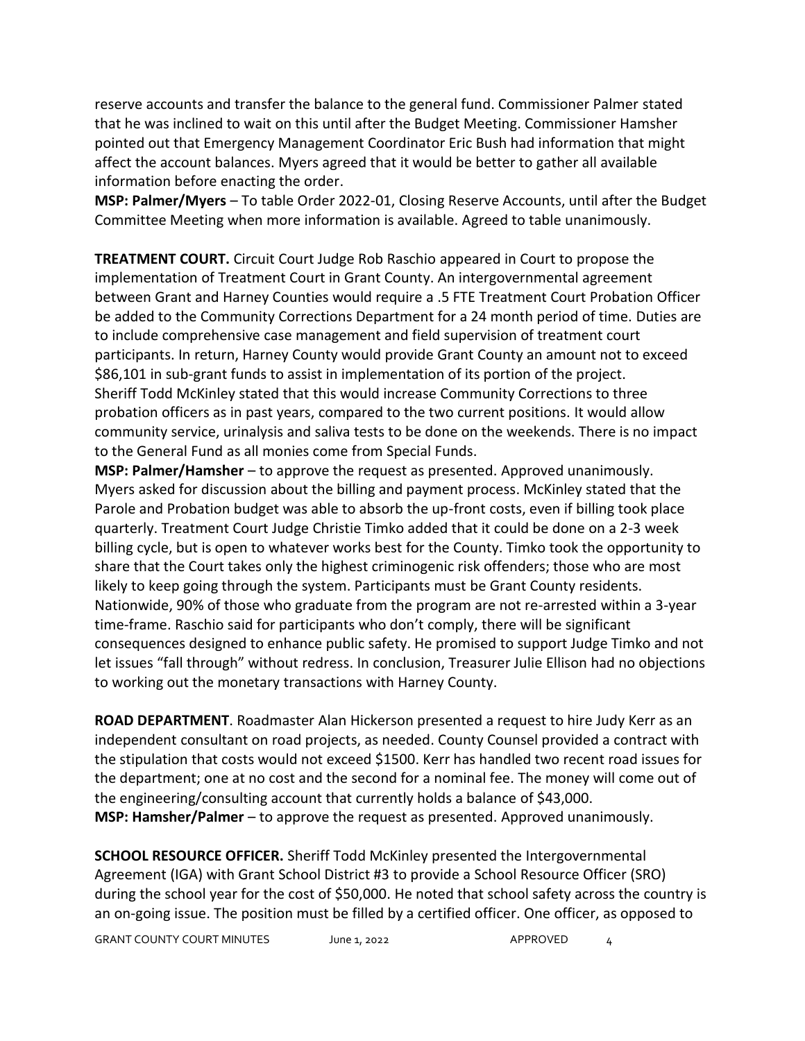reserve accounts and transfer the balance to the general fund. Commissioner Palmer stated that he was inclined to wait on this until after the Budget Meeting. Commissioner Hamsher pointed out that Emergency Management Coordinator Eric Bush had information that might affect the account balances. Myers agreed that it would be better to gather all available information before enacting the order.

**MSP: Palmer/Myers** – To table Order 2022-01, Closing Reserve Accounts, until after the Budget Committee Meeting when more information is available. Agreed to table unanimously.

**TREATMENT COURT.** Circuit Court Judge Rob Raschio appeared in Court to propose the implementation of Treatment Court in Grant County. An intergovernmental agreement between Grant and Harney Counties would require a .5 FTE Treatment Court Probation Officer be added to the Community Corrections Department for a 24 month period of time. Duties are to include comprehensive case management and field supervision of treatment court participants. In return, Harney County would provide Grant County an amount not to exceed \$86,101 in sub-grant funds to assist in implementation of its portion of the project. Sheriff Todd McKinley stated that this would increase Community Corrections to three probation officers as in past years, compared to the two current positions. It would allow community service, urinalysis and saliva tests to be done on the weekends. There is no impact to the General Fund as all monies come from Special Funds.

**MSP: Palmer/Hamsher** – to approve the request as presented. Approved unanimously. Myers asked for discussion about the billing and payment process. McKinley stated that the Parole and Probation budget was able to absorb the up-front costs, even if billing took place quarterly. Treatment Court Judge Christie Timko added that it could be done on a 2-3 week billing cycle, but is open to whatever works best for the County. Timko took the opportunity to share that the Court takes only the highest criminogenic risk offenders; those who are most likely to keep going through the system. Participants must be Grant County residents. Nationwide, 90% of those who graduate from the program are not re-arrested within a 3-year time-frame. Raschio said for participants who don't comply, there will be significant consequences designed to enhance public safety. He promised to support Judge Timko and not let issues "fall through" without redress. In conclusion, Treasurer Julie Ellison had no objections to working out the monetary transactions with Harney County.

**ROAD DEPARTMENT**. Roadmaster Alan Hickerson presented a request to hire Judy Kerr as an independent consultant on road projects, as needed. County Counsel provided a contract with the stipulation that costs would not exceed \$1500. Kerr has handled two recent road issues for the department; one at no cost and the second for a nominal fee. The money will come out of the engineering/consulting account that currently holds a balance of \$43,000. **MSP: Hamsher/Palmer** – to approve the request as presented. Approved unanimously.

**SCHOOL RESOURCE OFFICER.** Sheriff Todd McKinley presented the Intergovernmental Agreement (IGA) with Grant School District #3 to provide a School Resource Officer (SRO) during the school year for the cost of \$50,000. He noted that school safety across the country is an on-going issue. The position must be filled by a certified officer. One officer, as opposed to